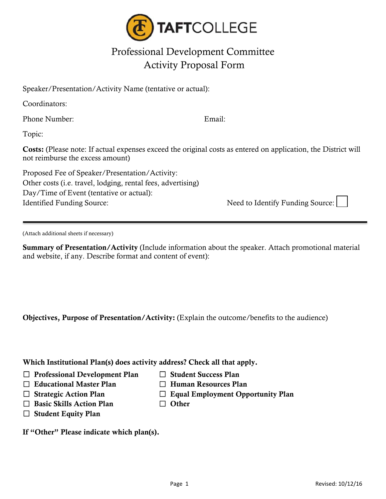

## Professional Development Committee Activity Proposal Form

Speaker/Presentation/Activity Name (tentative or actual):

Coordinators:

Phone Number: Email:

Topic:

Costs: (Please note: If actual expenses exceed the original costs as entered on application, the District will not reimburse the excess amount)

Proposed Fee of Speaker/Presentation/Activity: Other costs (i.e. travel, lodging, rental fees, advertising) Day/Time of Event (tentative or actual): Identified Funding Source:  $\blacksquare$  Need to Identify Funding Source:

(Attach additional sheets if necessary)

Summary of Presentation/Activity (Include information about the speaker. Attach promotional material and website, if any. Describe format and content of event):

Objectives, Purpose of Presentation/Activity: (Explain the outcome/benefits to the audience)

Which Institutional Plan(s) does activity address? Check all that apply.

☐ Professional Development Plan ☐ Student Success Plan

- ☐ Educational Master Plan ☐ Human Resources Plan
- ☐ Strategic Action Plan ☐ Equal Employment Opportunity Plan
- 
- ☐ Basic Skills Action Plan ☐ Other
	-
- $\Box$  Student Equity Plan

If "Other" Please indicate which plan(s).